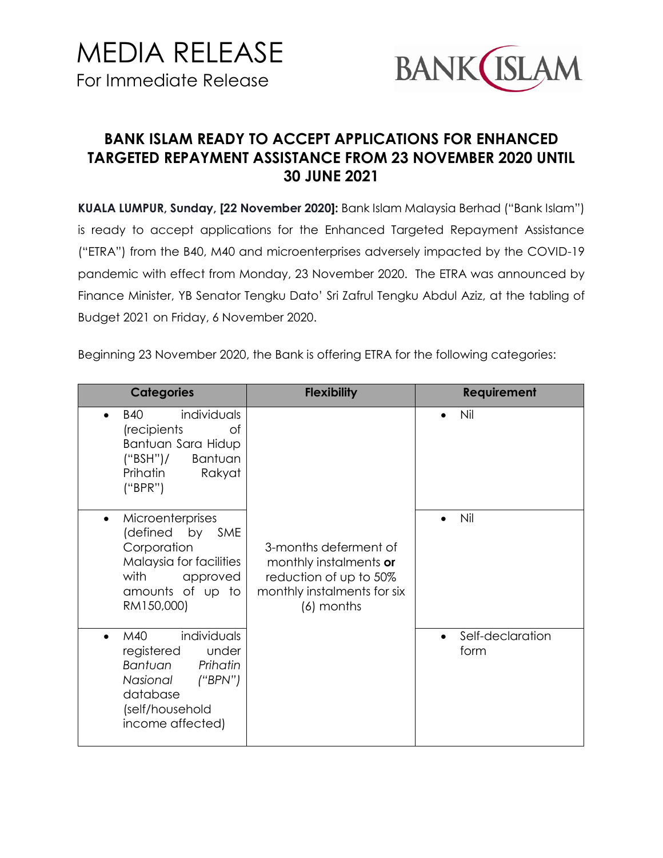

## **BANK ISLAM READY TO ACCEPT APPLICATIONS FOR ENHANCED TARGETED REPAYMENT ASSISTANCE FROM 23 NOVEMBER 2020 UNTIL 30 JUNE 2021**

**KUALA LUMPUR, Sunday, [22 November 2020]:** Bank Islam Malaysia Berhad ("Bank Islam") is ready to accept applications for the Enhanced Targeted Repayment Assistance ("ETRA") from the B40, M40 and microenterprises adversely impacted by the COVID-19 pandemic with effect from Monday, 23 November 2020. The ETRA was announced by Finance Minister, YB Senator Tengku Dato' Sri Zafrul Tengku Abdul Aziz, at the tabling of Budget 2021 on Friday, 6 November 2020.

Beginning 23 November 2020, the Bank is offering ETRA for the following categories:

| <b>Categories</b>                                                                                                                                | <b>Flexibility</b>                                                                                                     | <b>Requirement</b>       |
|--------------------------------------------------------------------------------------------------------------------------------------------------|------------------------------------------------------------------------------------------------------------------------|--------------------------|
| individuals<br><b>B40</b><br>(recipients<br>Ωf<br>Bantuan Sara Hidup<br>Bantuan<br>("BSH")/<br>Prihatin<br>Rakyat<br>("BPR")                     |                                                                                                                        | Nil                      |
| Microenterprises<br>$\bullet$<br>(defined by SME<br>Corporation<br>Malaysia for facilities<br>with<br>approved<br>amounts of up to<br>RM150,000) | 3-months deferment of<br>monthly instalments or<br>reduction of up to 50%<br>monthly instalments for six<br>(6) months | Nil                      |
| individuals<br>M40<br>registered<br>under<br>Bantuan<br>Prihatin<br>(''BPN'')<br>Nasional<br>database<br>(self/household<br>income affected)     |                                                                                                                        | Self-declaration<br>form |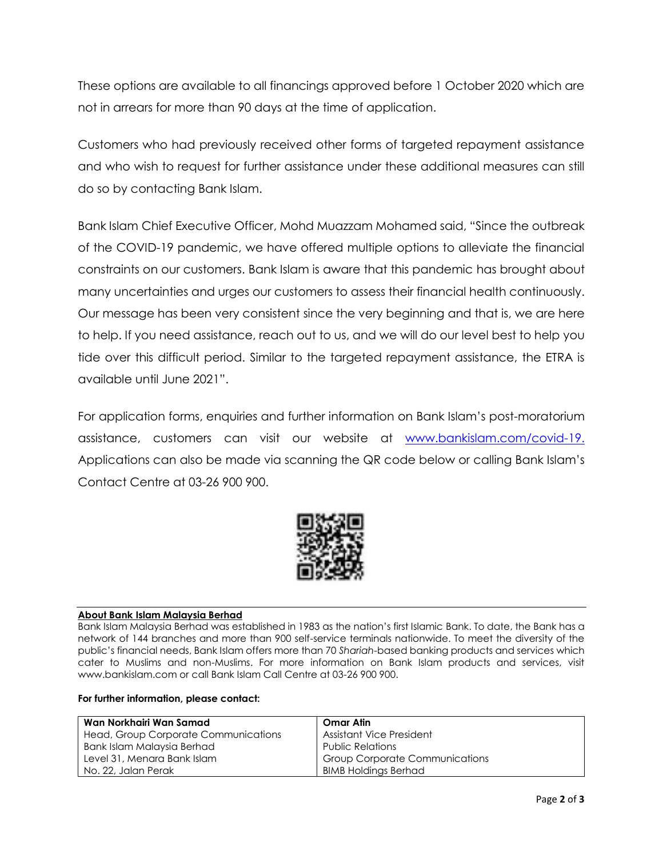These options are available to all financings approved before 1 October 2020 which are not in arrears for more than 90 days at the time of application.

Customers who had previously received other forms of targeted repayment assistance and who wish to request for further assistance under these additional measures can still do so by contacting Bank Islam.

Bank Islam Chief Executive Officer, Mohd Muazzam Mohamed said, "Since the outbreak of the COVID-19 pandemic, we have offered multiple options to alleviate the financial constraints on our customers. Bank Islam is aware that this pandemic has brought about many uncertainties and urges our customers to assess their financial health continuously. Our message has been very consistent since the very beginning and that is, we are here to help. If you need assistance, reach out to us, and we will do our level best to help you tide over this difficult period. Similar to the targeted repayment assistance, the ETRA is available until June 2021".

For application forms, enquiries and further information on Bank Islam's post-moratorium assistance, customers can visit our website at [www.bankislam.com/covid-19.](http://www.bankislam.com/covid-19) Applications can also be made via scanning the QR code below or calling Bank Islam's Contact Centre at 03-26 900 900.



## **About Bank Islam Malaysia Berhad**

Bank Islam Malaysia Berhad was established in 1983 as the nation's first Islamic Bank. To date, the Bank has a network of 144 branches and more than 900 self-service terminals nationwide. To meet the diversity of the public's financial needs, Bank Islam offers more than 70 *Shariah*-based banking products and services which cater to Muslims and non-Muslims. For more information on Bank Islam products and services, visit www.bankislam.com or call Bank Islam Call Centre at 03-26 900 900.

## **For further information, please contact:**

| Wan Norkhairi Wan Samad              | <b>Omar Atin</b>                      |
|--------------------------------------|---------------------------------------|
| Head, Group Corporate Communications | Assistant Vice President              |
| Bank Islam Malaysia Berhad           | <b>Public Relations</b>               |
| Level 31, Menara Bank Islam          | <b>Group Corporate Communications</b> |
| No. 22, Jalan Perak                  | <b>BIMB Holdings Berhad</b>           |